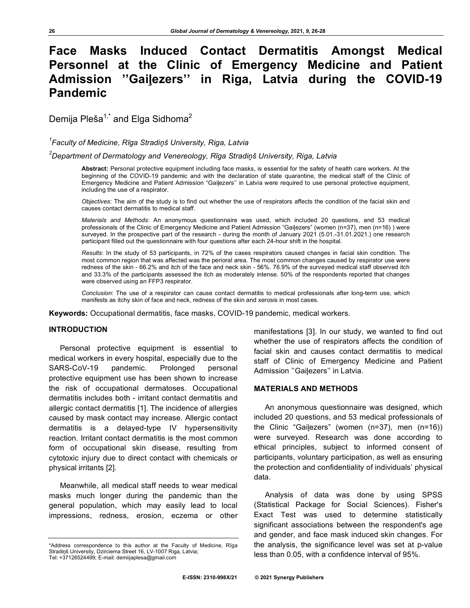# **Face Masks Induced Contact Dermatitis Amongst Medical Personnel at the Clinic of Emergency Medicine and Patient Admission ''Gaiļezers'' in Riga, Latvia during the COVID-19 Pandemic**

Demija Pleša $1$ <sup>\*</sup> and Elga Sidhoma<sup>2</sup>

*1 Faculty of Medicine, Rīga Stradiņš University, Riga, Latvia*

*2 Department of Dermatology and Venereology, Rīga Stradiņš University, Riga, Latvia*

**Abstract:** Personal protective equipment including face masks, is essential for the safety of health care workers. At the beginning of the COVID-19 pandemic and with the declaration of state quarantine, the medical staff of the Clinic of Emergency Medicine and Patient Admission "Gaiļezers'' in Latvia were required to use personal protective equipment, including the use of a respirator.

*Objectives*: The aim of the study is to find out whether the use of respirators affects the condition of the facial skin and causes contact dermatitis to medical staff.

*Materials and Methods*: An anonymous questionnaire was used, which included 20 questions, and 53 medical professionals of the Clinic of Emergency Medicine and Patient Admission "Gaiļezers" (women (n=37), men (n=16) ) were surveyed. In the prospective part of the research - during the month of January 2021 (5.01.-31.01.2021.) one research participant filled out the questionnaire with four questions after each 24-hour shift in the hospital.

*Results*: In the study of 53 participants, in 72% of the cases respirators caused changes in facial skin condition. The most common region that was affected was the perioral area. The most common changes caused by respirator use were redness of the skin - 66.2% and itch of the face and neck skin - 56%. 76.9% of the surveyed medical staff observed itch and 33.3% of the participants assessed the itch as moderately intense. 50% of the respondents reported that changes were observed using an FFP3 respirator.

*Conclusion*: The use of a respirator can cause contact dermatitis to medical professionals after long-term use, which manifests as itchy skin of face and neck, redness of the skin and xerosis in most cases.

**Keywords:** Occupational dermatitis, face masks, COVID-19 pandemic, medical workers.

## **INTRODUCTION**

Personal protective equipment is essential to medical workers in every hospital, especially due to the SARS-CoV-19 pandemic. Prolonged personal protective equipment use has been shown to increase the risk of occupational dermatoses. Occupational dermatitis includes both - irritant contact dermatitis and allergic contact dermatitis [1]. The incidence of allergies caused by mask contact may increase. Allergic contact dermatitis is a delayed-type IV hypersensitivity reaction. Irritant contact dermatitis is the most common form of occupational skin disease, resulting from cytotoxic injury due to direct contact with chemicals or physical irritants [2].

Meanwhile, all medical staff needs to wear medical masks much longer during the pandemic than the general population, which may easily lead to local impressions, redness, erosion, eczema or other

manifestations [3]. In our study, we wanted to find out whether the use of respirators affects the condition of facial skin and causes contact dermatitis to medical staff of Clinic of Emergency Medicine and Patient Admission ''Gaiļezers'' in Latvia.

## **MATERIALS AND METHODS**

An anonymous questionnaire was designed, which included 20 questions, and 53 medical professionals of the Clinic "Gaiļezers" (women (n=37), men (n=16)) were surveyed. Research was done according to ethical principles, subject to informed consent of participants, voluntary participation, as well as ensuring the protection and confidentiality of individuals' physical data.

Analysis of data was done by using SPSS (Statistical Package for Social Sciences). Fisher's Exact Test was used to determine statistically significant associations between the respondent's age and gender, and face mask induced skin changes. For the analysis, the significance level was set at p-value less than 0.05, with a confidence interval of 95%.

<sup>\*</sup>Address correspondence to this author at the Faculty of Medicine, Rīga Stradiņš University, Dzirciema Street 16, LV-1007 Riga, Latvia; Tel: +37126524499; E-mail: demiijaplesa@gmail.com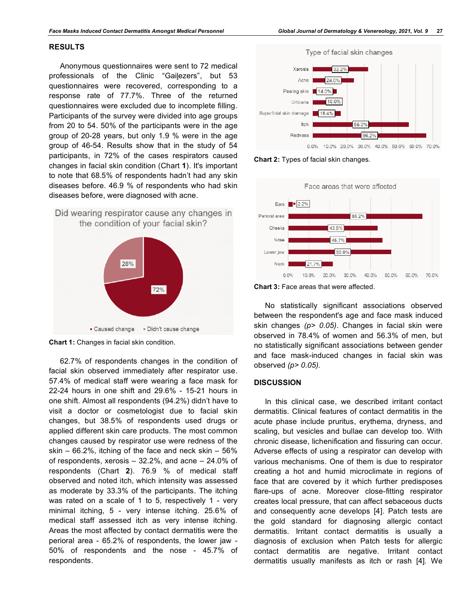### **RESULTS**

Anonymous questionnaires were sent to 72 medical professionals of the Clinic "Gaiļezers", but 53 questionnaires were recovered, corresponding to a response rate of 77.7%. Three of the returned questionnaires were excluded due to incomplete filling. Participants of the survey were divided into age groups from 20 to 54. 50% of the participants were in the age group of 20-28 years, but only 1.9 % were in the age group of 46-54. Results show that in the study of 54 participants, in 72% of the cases respirators caused changes in facial skin condition (Chart **1**). It's important to note that 68.5% of respondents hadn't had any skin diseases before. 46.9 % of respondents who had skin diseases before, were diagnosed with acne.



**Chart 1:** Changes in facial skin condition.

62.7% of respondents changes in the condition of facial skin observed immediately after respirator use. 57.4% of medical staff were wearing a face mask for 22-24 hours in one shift and 29.6% - 15-21 hours in one shift. Almost all respondents (94.2%) didn't have to visit a doctor or cosmetologist due to facial skin changes, but 38.5% of respondents used drugs or applied different skin care products. The most common changes caused by respirator use were redness of the skin  $-66.2\%$ , itching of the face and neck skin  $-56\%$ of respondents, xerosis – 32.2%, and acne – 24.0% of respondents (Chart **2**). 76.9 % of medical staff observed and noted itch, which intensity was assessed as moderate by 33.3% of the participants. The itching was rated on a scale of 1 to 5, respectively 1 - very minimal itching, 5 - very intense itching. 25.6% of medical staff assessed itch as very intense itching. Areas the most affected by contact dermatitis were the perioral area - 65.2% of respondents, the lower jaw - 50% of respondents and the nose - 45.7% of respondents.



**Chart 2:** Types of facial skin changes.



**Chart 3:** Face areas that were affected.

No statistically significant associations observed between the respondent's age and face mask induced skin changes *(p> 0.05)*. Changes in facial skin were observed in 78.4% of women and 56.3% of men, but no statistically significant associations between gender and face mask-induced changes in facial skin was observed *(p> 0.05).*

#### **DISCUSSION**

In this clinical case, we described irritant contact dermatitis. Clinical features of contact dermatitis in the acute phase include pruritus, erythema, dryness, and scaling, but vesicles and bullae can develop too. With chronic disease, lichenification and fissuring can occur. Adverse effects of using a respirator can develop with various mechanisms. One of them is due to respirator creating a hot and humid microclimate in regions of face that are covered by it which further predisposes flare-ups of acne. Moreover close-fitting respirator creates local pressure, that can affect sebaceous ducts and consequently acne develops [4]. Patch tests are the gold standard for diagnosing allergic contact dermatitis. Irritant contact dermatitis is usually a diagnosis of exclusion when Patch tests for allergic contact dermatitis are negative. Irritant contact dermatitis usually manifests as itch or rash [4]. We